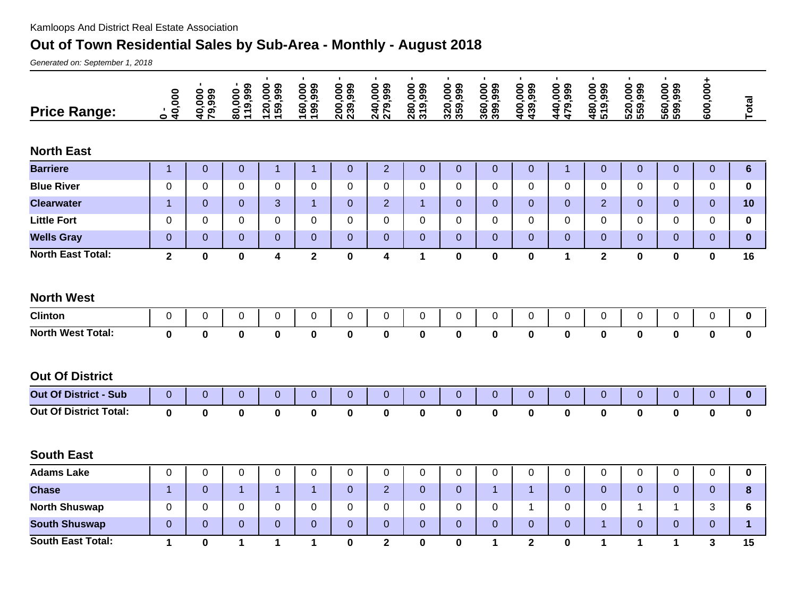## **Out of Town Residential Sales by Sub-Area - Monthly - August 2018**

Generated on: September 1, 2018

| <b>Price Range:</b>           | $\frac{1}{40,000}$ | п.<br>40,000<br>79,999 | п.<br>119,999<br>80,000 | $\blacksquare$<br> 120,000<br> 159,999 | $\blacksquare$<br> 160,000<br> 199,999 | $\blacksquare$<br>200,000<br>239,999 | $\blacksquare$<br>240,000<br>279,999 | $\blacksquare$<br>280,000<br>319,999 | $\blacksquare$<br>320,000<br>359,999 | ٠<br>360,000<br>399,999 | $\blacksquare$<br>400,000 | $\blacksquare$<br>440,000<br>479,999 | $\blacksquare$<br>480,000<br>519,999 | $\blacksquare$<br>520,000<br>559,999 | $\blacksquare$<br>560,000 | 600,000+       | Total            |
|-------------------------------|--------------------|------------------------|-------------------------|----------------------------------------|----------------------------------------|--------------------------------------|--------------------------------------|--------------------------------------|--------------------------------------|-------------------------|---------------------------|--------------------------------------|--------------------------------------|--------------------------------------|---------------------------|----------------|------------------|
| <b>North East</b>             |                    |                        |                         |                                        |                                        |                                      |                                      |                                      |                                      |                         |                           |                                      |                                      |                                      |                           |                |                  |
| <b>Barriere</b>               | $\mathbf{1}$       | $\overline{0}$         | $\overline{0}$          | $\mathbf{1}$                           | $\mathbf{1}$                           | $\overline{0}$                       | $\overline{2}$                       | $\mathbf{0}$                         | $\mathbf{0}$                         | $\overline{0}$          | $\overline{0}$            | $\mathbf{1}$                         | $\overline{0}$                       | $\mathbf 0$                          | $\overline{0}$            | $\mathbf{0}$   | $6\phantom{1}$   |
| <b>Blue River</b>             | $\Omega$           | $\Omega$               | $\Omega$                | 0                                      | $\Omega$                               | $\mathbf 0$                          | 0                                    | $\Omega$                             | $\Omega$                             | 0                       | $\Omega$                  | 0                                    | 0                                    | 0                                    | $\Omega$                  | $\Omega$       | 0                |
| <b>Clearwater</b>             | $\mathbf{1}$       | $\overline{0}$         | $\mathbf 0$             | 3                                      | $\mathbf{1}$                           | $\mathbf 0$                          | $\overline{2}$                       | $\mathbf{1}$                         | $\mathbf{0}$                         | $\overline{0}$          | 0                         | $\mathbf{0}$                         | $\overline{2}$                       | $\overline{0}$                       | 0                         | $\overline{0}$ | 10               |
| <b>Little Fort</b>            | 0                  | $\Omega$               | $\Omega$                | 0                                      | $\Omega$                               | $\Omega$                             | 0                                    | $\Omega$                             | $\Omega$                             | $\Omega$                | $\Omega$                  | $\Omega$                             | 0                                    | $\Omega$                             | 0                         | $\Omega$       | 0                |
| <b>Wells Gray</b>             | $\overline{0}$     | $\overline{0}$         | $\mathbf 0$             | $\overline{0}$                         | $\mathbf 0$                            | $\boldsymbol{0}$                     | $\mathbf 0$                          | $\mathbf 0$                          | $\mathbf 0$                          | $\mathbf{0}$            | 0                         | $\theta$                             | $\overline{0}$                       | $\mathbf 0$                          | 0                         | $\overline{0}$ | $\bf{0}$         |
| <b>North East Total:</b>      | $\mathbf{2}$       | 0                      | $\mathbf 0$             | $\overline{\mathbf{4}}$                | $\mathbf{2}$                           | $\mathbf 0$                          | 4                                    | $\mathbf 1$                          | $\mathbf 0$                          | 0                       | 0                         | $\mathbf{1}$                         | $\mathbf{2}$                         | $\mathbf 0$                          | $\mathbf 0$               | $\mathbf 0$    | 16               |
| <b>North West</b>             |                    |                        |                         |                                        |                                        |                                      |                                      |                                      |                                      |                         |                           |                                      |                                      |                                      |                           |                |                  |
| <b>Clinton</b>                | $\pmb{0}$          | 0                      | 0                       | $\pmb{0}$                              | 0                                      | $\pmb{0}$                            | $\mathbf 0$                          | $\pmb{0}$                            | $\pmb{0}$                            | $\pmb{0}$               | $\mathbf{0}$              | $\pmb{0}$                            | $\pmb{0}$                            | 0                                    | $\overline{0}$            | $\mathsf 0$    | $\boldsymbol{0}$ |
| <b>North West Total:</b>      | $\mathbf 0$        | $\mathbf 0$            | $\bf{0}$                | $\mathbf 0$                            | $\mathbf 0$                            | $\pmb{0}$                            | $\pmb{0}$                            | $\mathbf 0$                          | $\mathbf 0$                          | $\mathbf 0$             | $\mathbf 0$               | $\mathbf 0$                          | $\mathbf 0$                          | $\mathbf 0$                          | $\mathbf 0$               | $\mathbf 0$    | $\mathbf 0$      |
| <b>Out Of District</b>        |                    |                        |                         |                                        |                                        |                                      |                                      |                                      |                                      |                         |                           |                                      |                                      |                                      |                           |                |                  |
| <b>Out Of District - Sub</b>  | $\boldsymbol{0}$   | $\overline{0}$         | $\boldsymbol{0}$        | $\boldsymbol{0}$                       | $\boldsymbol{0}$                       | $\overline{0}$                       | $\overline{0}$                       | $\overline{0}$                       | $\overline{0}$                       | $\overline{0}$          | 0                         | $\overline{0}$                       | $\overline{0}$                       | $\boldsymbol{0}$                     | $\overline{0}$            | $\overline{0}$ | $\bf{0}$         |
| <b>Out Of District Total:</b> | $\mathbf 0$        | $\mathbf 0$            | $\bf{0}$                | $\pmb{0}$                              | $\pmb{0}$                              | $\bf{0}$                             | $\mathbf 0$                          | $\mathbf 0$                          | $\pmb{0}$                            | 0                       | $\mathbf 0$               | $\pmb{0}$                            | $\mathbf 0$                          | $\pmb{0}$                            | $\mathbf 0$               | $\pmb{0}$      | $\mathbf 0$      |
| <b>South East</b>             |                    |                        |                         |                                        |                                        |                                      |                                      |                                      |                                      |                         |                           |                                      |                                      |                                      |                           |                |                  |
| <b>Adams Lake</b>             | 0                  | 0                      | 0                       | 0                                      | 0                                      | 0                                    | $\mathbf 0$                          | 0                                    | $\mathbf 0$                          | $\mathbf 0$             | 0                         | 0                                    | $\mathbf 0$                          | 0                                    | 0                         | 0              | $\mathbf 0$      |
| <b>Chase</b>                  | $\overline{1}$     | $\Omega$               | $\mathbf{1}$            | $\mathbf{1}$                           | $\mathbf{1}$                           | $\overline{0}$                       | $\overline{2}$                       | $\overline{0}$                       | $\Omega$                             | $\mathbf{1}$            | $\mathbf{1}$              | $\mathbf 0$                          | $\overline{0}$                       | $\overline{0}$                       | $\Omega$                  | $\overline{0}$ | 8                |
| <b>North Shuswap</b>          | 0                  | 0                      | 0                       | 0                                      | 0                                      | 0                                    | 0                                    | 0                                    | 0                                    | 0                       | 1                         | 0                                    | $\mathbf 0$                          | 1                                    | 1                         | 3              | 6                |
| <b>South Shuswap</b>          | $\overline{0}$     | $\overline{0}$         | $\mathbf 0$             | $\overline{0}$                         | $\overline{0}$                         | $\overline{0}$                       | $\overline{0}$                       | $\overline{0}$                       | $\overline{0}$                       | $\overline{0}$          | 0                         | $\overline{0}$                       | $\overline{1}$                       | $\overline{0}$                       | $\Omega$                  | $\overline{0}$ | $\mathbf{1}$     |
| <b>South East Total:</b>      | $\mathbf{1}$       | 0                      | 1                       | $\mathbf 1$                            | 1                                      | 0                                    | $\overline{2}$                       | $\mathbf{0}$                         | $\bf{0}$                             | $\mathbf 1$             | $\overline{2}$            | $\mathbf 0$                          | 1                                    | 1                                    | 1                         | 3              | 15               |